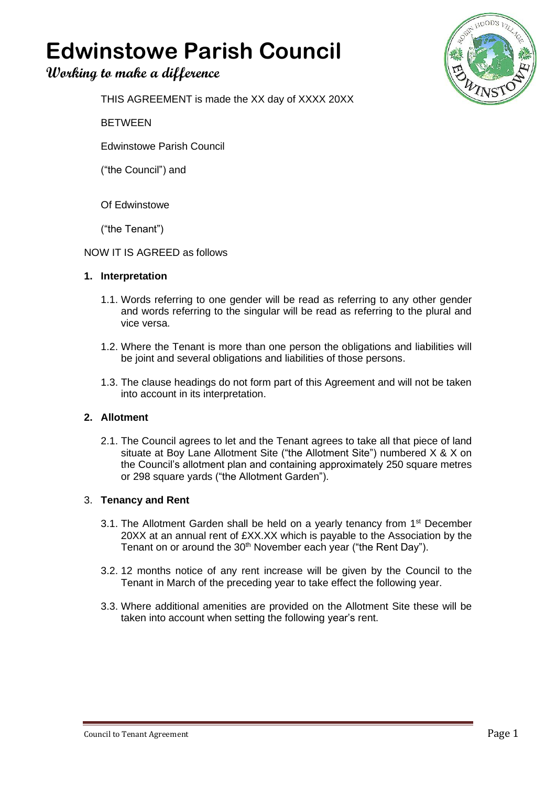# **Edwinstowe Parish Council**

# **Working to make a difference**



THIS AGREEMENT is made the XX day of XXXX 20XX

BETWEEN

Edwinstowe Parish Council

("the Council") and

Of Edwinstowe

("the Tenant")

#### NOW IT IS AGREED as follows

#### **1. Interpretation**

- 1.1. Words referring to one gender will be read as referring to any other gender and words referring to the singular will be read as referring to the plural and vice versa.
- 1.2. Where the Tenant is more than one person the obligations and liabilities will be joint and several obligations and liabilities of those persons.
- 1.3. The clause headings do not form part of this Agreement and will not be taken into account in its interpretation.

## **2. Allotment**

2.1. The Council agrees to let and the Tenant agrees to take all that piece of land situate at Boy Lane Allotment Site ("the Allotment Site") numbered X & X on the Council's allotment plan and containing approximately 250 square metres or 298 square yards ("the Allotment Garden").

#### 3. **Tenancy and Rent**

- 3.1. The Allotment Garden shall be held on a yearly tenancy from 1<sup>st</sup> December 20XX at an annual rent of £XX.XX which is payable to the Association by the Tenant on or around the 30<sup>th</sup> November each year ("the Rent Day").
- 3.2. 12 months notice of any rent increase will be given by the Council to the Tenant in March of the preceding year to take effect the following year.
- 3.3. Where additional amenities are provided on the Allotment Site these will be taken into account when setting the following year's rent.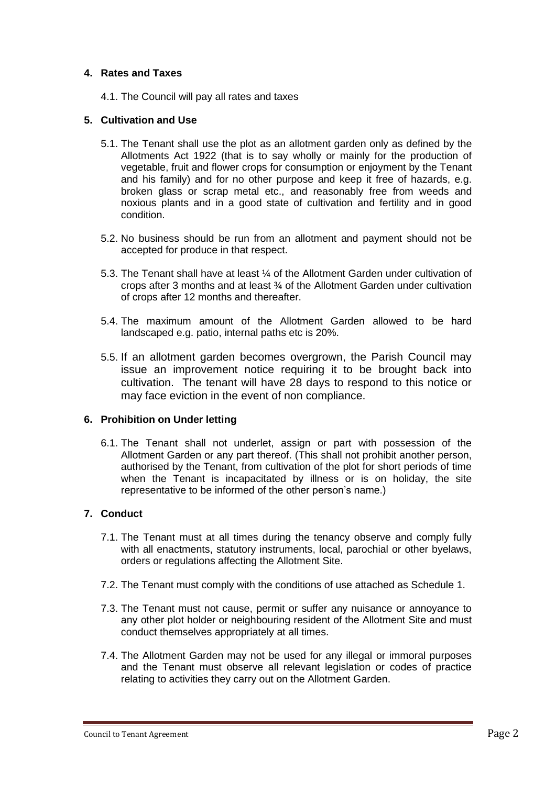#### **4. Rates and Taxes**

4.1. The Council will pay all rates and taxes

#### **5. Cultivation and Use**

- 5.1. The Tenant shall use the plot as an allotment garden only as defined by the Allotments Act 1922 (that is to say wholly or mainly for the production of vegetable, fruit and flower crops for consumption or enjoyment by the Tenant and his family) and for no other purpose and keep it free of hazards, e.g. broken glass or scrap metal etc., and reasonably free from weeds and noxious plants and in a good state of cultivation and fertility and in good condition.
- 5.2. No business should be run from an allotment and payment should not be accepted for produce in that respect.
- 5.3. The Tenant shall have at least ¼ of the Allotment Garden under cultivation of crops after 3 months and at least ¾ of the Allotment Garden under cultivation of crops after 12 months and thereafter.
- 5.4. The maximum amount of the Allotment Garden allowed to be hard landscaped e.g. patio, internal paths etc is 20%.
- 5.5. If an allotment garden becomes overgrown, the Parish Council may issue an improvement notice requiring it to be brought back into cultivation. The tenant will have 28 days to respond to this notice or may face eviction in the event of non compliance.

#### **6. Prohibition on Under letting**

6.1. The Tenant shall not underlet, assign or part with possession of the Allotment Garden or any part thereof. (This shall not prohibit another person, authorised by the Tenant, from cultivation of the plot for short periods of time when the Tenant is incapacitated by illness or is on holiday, the site representative to be informed of the other person's name.)

#### **7. Conduct**

- 7.1. The Tenant must at all times during the tenancy observe and comply fully with all enactments, statutory instruments, local, parochial or other byelaws, orders or regulations affecting the Allotment Site.
- 7.2. The Tenant must comply with the conditions of use attached as Schedule 1.
- 7.3. The Tenant must not cause, permit or suffer any nuisance or annoyance to any other plot holder or neighbouring resident of the Allotment Site and must conduct themselves appropriately at all times.
- 7.4. The Allotment Garden may not be used for any illegal or immoral purposes and the Tenant must observe all relevant legislation or codes of practice relating to activities they carry out on the Allotment Garden.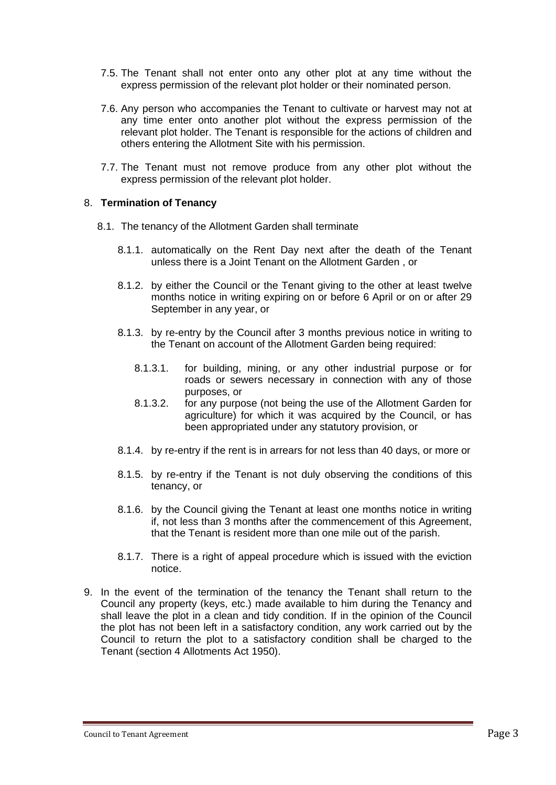- 7.5. The Tenant shall not enter onto any other plot at any time without the express permission of the relevant plot holder or their nominated person.
- 7.6. Any person who accompanies the Tenant to cultivate or harvest may not at any time enter onto another plot without the express permission of the relevant plot holder. The Tenant is responsible for the actions of children and others entering the Allotment Site with his permission.
- 7.7. The Tenant must not remove produce from any other plot without the express permission of the relevant plot holder.

#### 8. **Termination of Tenancy**

- 8.1. The tenancy of the Allotment Garden shall terminate
	- 8.1.1. automatically on the Rent Day next after the death of the Tenant unless there is a Joint Tenant on the Allotment Garden , or
	- 8.1.2. by either the Council or the Tenant giving to the other at least twelve months notice in writing expiring on or before 6 April or on or after 29 September in any year, or
	- 8.1.3. by re-entry by the Council after 3 months previous notice in writing to the Tenant on account of the Allotment Garden being required:
		- 8.1.3.1. for building, mining, or any other industrial purpose or for roads or sewers necessary in connection with any of those purposes, or
		- 8.1.3.2. for any purpose (not being the use of the Allotment Garden for agriculture) for which it was acquired by the Council, or has been appropriated under any statutory provision, or
	- 8.1.4. by re-entry if the rent is in arrears for not less than 40 days, or more or
	- 8.1.5. by re-entry if the Tenant is not duly observing the conditions of this tenancy, or
	- 8.1.6. by the Council giving the Tenant at least one months notice in writing if, not less than 3 months after the commencement of this Agreement, that the Tenant is resident more than one mile out of the parish.
	- 8.1.7. There is a right of appeal procedure which is issued with the eviction notice.
- 9. In the event of the termination of the tenancy the Tenant shall return to the Council any property (keys, etc.) made available to him during the Tenancy and shall leave the plot in a clean and tidy condition. If in the opinion of the Council the plot has not been left in a satisfactory condition, any work carried out by the Council to return the plot to a satisfactory condition shall be charged to the Tenant (section 4 Allotments Act 1950).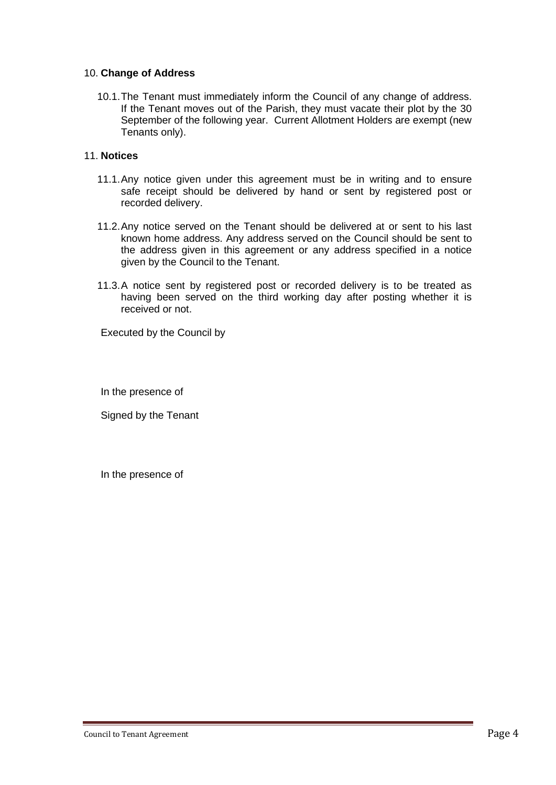#### 10. **Change of Address**

10.1.The Tenant must immediately inform the Council of any change of address. If the Tenant moves out of the Parish, they must vacate their plot by the 30 September of the following year. Current Allotment Holders are exempt (new Tenants only).

#### 11. **Notices**

- 11.1.Any notice given under this agreement must be in writing and to ensure safe receipt should be delivered by hand or sent by registered post or recorded delivery.
- 11.2.Any notice served on the Tenant should be delivered at or sent to his last known home address. Any address served on the Council should be sent to the address given in this agreement or any address specified in a notice given by the Council to the Tenant.
- 11.3.A notice sent by registered post or recorded delivery is to be treated as having been served on the third working day after posting whether it is received or not.

Executed by the Council by

In the presence of

Signed by the Tenant

In the presence of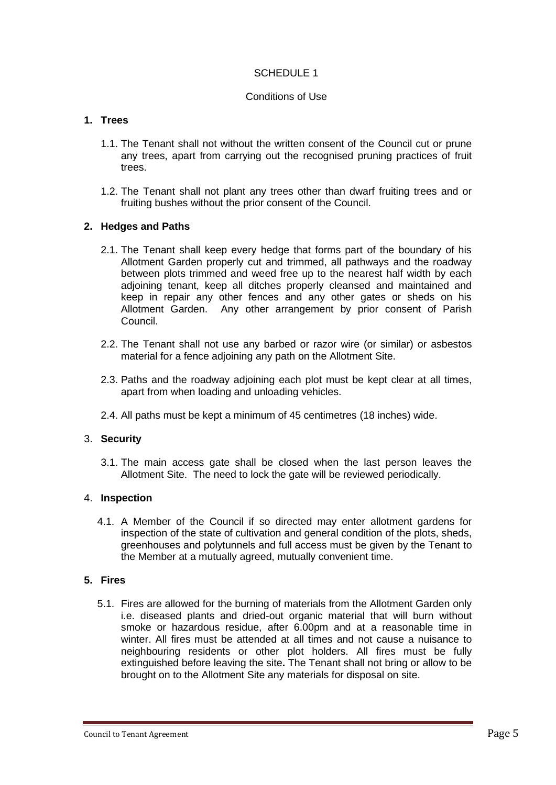#### SCHEDULE 1

#### Conditions of Use

# **1. Trees**

- 1.1. The Tenant shall not without the written consent of the Council cut or prune any trees, apart from carrying out the recognised pruning practices of fruit trees.
- 1.2. The Tenant shall not plant any trees other than dwarf fruiting trees and or fruiting bushes without the prior consent of the Council.

#### **2. Hedges and Paths**

- 2.1. The Tenant shall keep every hedge that forms part of the boundary of his Allotment Garden properly cut and trimmed, all pathways and the roadway between plots trimmed and weed free up to the nearest half width by each adjoining tenant, keep all ditches properly cleansed and maintained and keep in repair any other fences and any other gates or sheds on his Allotment Garden. Any other arrangement by prior consent of Parish Council.
- 2.2. The Tenant shall not use any barbed or razor wire (or similar) or asbestos material for a fence adjoining any path on the Allotment Site.
- 2.3. Paths and the roadway adjoining each plot must be kept clear at all times, apart from when loading and unloading vehicles.
- 2.4. All paths must be kept a minimum of 45 centimetres (18 inches) wide.

## 3. **Security**

3.1. The main access gate shall be closed when the last person leaves the Allotment Site. The need to lock the gate will be reviewed periodically.

#### 4. **Inspection**

4.1. A Member of the Council if so directed may enter allotment gardens for inspection of the state of cultivation and general condition of the plots, sheds, greenhouses and polytunnels and full access must be given by the Tenant to the Member at a mutually agreed, mutually convenient time.

#### **5. Fires**

5.1. Fires are allowed for the burning of materials from the Allotment Garden only i.e. diseased plants and dried-out organic material that will burn without smoke or hazardous residue, after 6.00pm and at a reasonable time in winter. All fires must be attended at all times and not cause a nuisance to neighbouring residents or other plot holders. All fires must be fully extinguished before leaving the site**.** The Tenant shall not bring or allow to be brought on to the Allotment Site any materials for disposal on site.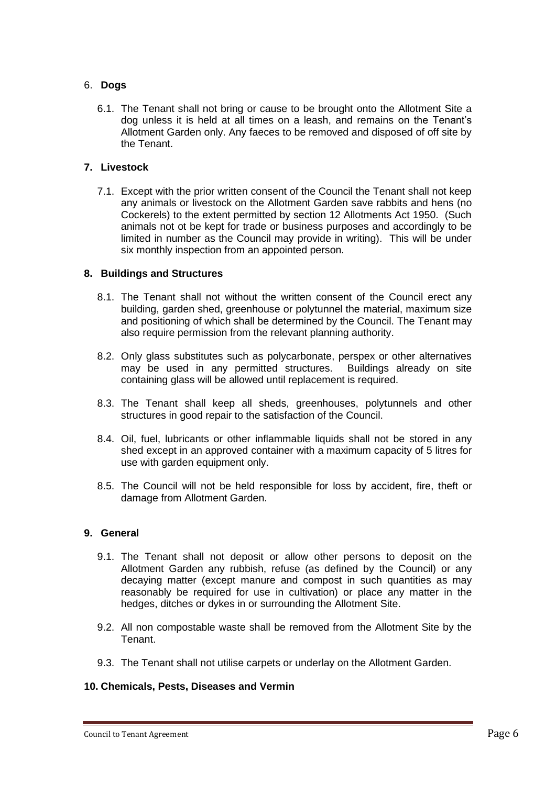#### 6. **Dogs**

6.1. The Tenant shall not bring or cause to be brought onto the Allotment Site a dog unless it is held at all times on a leash, and remains on the Tenant's Allotment Garden only. Any faeces to be removed and disposed of off site by the Tenant.

#### **7. Livestock**

7.1. Except with the prior written consent of the Council the Tenant shall not keep any animals or livestock on the Allotment Garden save rabbits and hens (no Cockerels) to the extent permitted by section 12 Allotments Act 1950. (Such animals not ot be kept for trade or business purposes and accordingly to be limited in number as the Council may provide in writing). This will be under six monthly inspection from an appointed person.

#### **8. Buildings and Structures**

- 8.1. The Tenant shall not without the written consent of the Council erect any building, garden shed, greenhouse or polytunnel the material, maximum size and positioning of which shall be determined by the Council. The Tenant may also require permission from the relevant planning authority.
- 8.2. Only glass substitutes such as polycarbonate, perspex or other alternatives may be used in any permitted structures. Buildings already on site containing glass will be allowed until replacement is required.
- 8.3. The Tenant shall keep all sheds, greenhouses, polytunnels and other structures in good repair to the satisfaction of the Council.
- 8.4. Oil, fuel, lubricants or other inflammable liquids shall not be stored in any shed except in an approved container with a maximum capacity of 5 litres for use with garden equipment only.
- 8.5. The Council will not be held responsible for loss by accident, fire, theft or damage from Allotment Garden.

#### **9. General**

- 9.1. The Tenant shall not deposit or allow other persons to deposit on the Allotment Garden any rubbish, refuse (as defined by the Council) or any decaying matter (except manure and compost in such quantities as may reasonably be required for use in cultivation) or place any matter in the hedges, ditches or dykes in or surrounding the Allotment Site.
- 9.2. All non compostable waste shall be removed from the Allotment Site by the Tenant.
- 9.3. The Tenant shall not utilise carpets or underlay on the Allotment Garden.

#### **10. Chemicals, Pests, Diseases and Vermin**